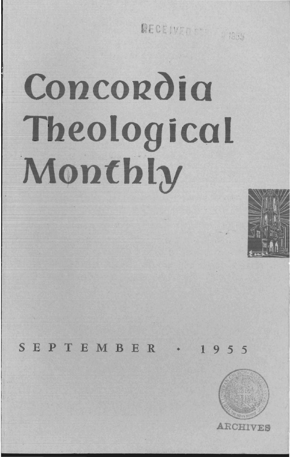RECEIVED STE 1955

# **Concordia Theological Monthly**



SEPTEMBER · 1955

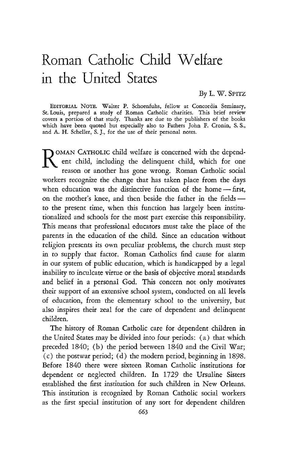## Roman Catholic Child Welfare in the United States

By L. W. SPITZ

EDITORIAL NOTE. Walter P. Schoenfuhs, fellow at Concordia Seminary, St. Louis, prepared a study of Roman Catholic charities. This brief review covers a portion of that study. Thanks are due to the publishers of the books which have been quoted but especially also to Fathers John F. Cronin, S. S., and A. H. Scheller, S.]., for the use of their personal notes.

NOMAN CATHOLIC child welfare is concerned with the depend-<br>ent child, including the delinquent child, which for one reason or another has gone wrong. Roman Catholic social workers recognize the change that has taken place from the days when education was the distinctive function of the home - first, on the mother's knee, and then beside the father in the fieldsto the present time, when this function has largely been institutionalized and schools for the most part exercise this responsibility. This means that professional educators must take the place of the parents in the education of the child. Since an education without religion presents its own peculiar problems, the church must step in to supply that factor. Roman Catholics find cause for alarm in our system of public education, which is handicapped by a legal inability to inculcate virtue or the basis of objective moral standards and belief in a personal God. This concern not only motivates their support of an extensive school system, conducted on all levels of education, from the elementary school to the university, but also inspires their zeal for the care of dependent and delinquent children.

The history of Roman Catholic care for dependent children in the United States may be divided into four periods: (a) that which preceded 1840; (b) the period between 1840 and the Civil War; (c) the postwar period; (d) the modern period, beginning in 1898. Before 1840 there were sixteen Roman Catholic institutions for dependent or neglected children. In 1729 the Ursuline Sisters established the first institution for such children in New Orleans. This institution is recognized by Roman Catholic social workers as the first special institution of any sort for dependent children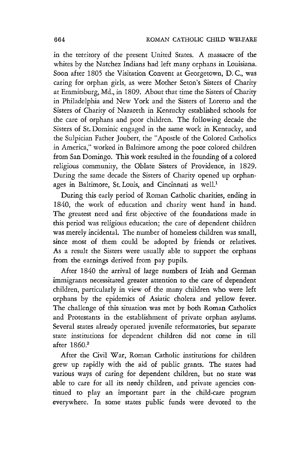in the territory of the present United States. A massacre of the whites by the Natchez Indians had left many orphans in Louisiana. Soon after 1805 the Visitation Convent at Georgetown, D. c., was caring for orphan girls, as were Mother Seton's Sisters of Charity at Emmitsburg, Md., in 1809. About that time the Sisters of Charity in Philadelphia and New York and the Sisters of Loretto and the Sisters of Charity of Nazareth in Kentucky established schools for the care of orphans and poor children. The following decade the Sisters of St. Dominic engaged in the same work in Kentucky, and the Sulpician Father Joubert, the "Apostle of the Colored Catholics in America," worked in Baltimore among the poor colored children from San Domingo. This work resulted in the founding of a colored religious community, the Oblate Sisters of Providence, in 1829. During the same decade the Sisters of Charity opened up orphanages in Baltimore, St. Louis, and Cincinnati as well.<sup>1</sup>

During this early period of Roman Catholic charities, ending in 1840, the work of education and charity went hand in hand. The greatest need and first objective of the foundations made in this period was religious education; the care of dependent children was merely incidental. The number of homeless children was small, since most of them could be adopted by friends or relatives. As a result the Sisters were usually able to support the orphans from the earnings derived from pay pupils.

After 1840 the arrival of large numbers of Irish and German immigrants necessitated greater attention to the care of dependent children, particularly in view of the many children who were left orphans by the epidemics of Asiatic cholera and yellow fever. The challenge of this situation was met by both Roman Catholics and Protestants in the establishment of private orphan asylums. Several states already operated juvenile reformatories, but separate state institutions for dependent children did not come in till after 1860.2

After the Civil War, Roman Catholic institutions for children grew up rapidly with the aid of public grants. The states had various ways of caring for dependent children, but no state was able to care for all its needy children, and private agencies continued to play an important part in the child-care program everywhere. In some states public funds were devoted to the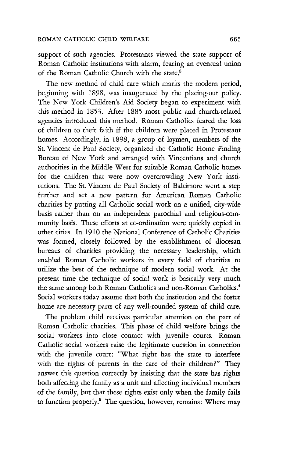support of such agencies. Protestants viewed the state support of Roman Catholic institutions with alarm, fearing an eventual union of the Roman Catholic Church with the state.<sup>3</sup>

The new method of child care which marks the modern period, beginning with 1898, was inaugurated by the placing-out policy. The New York Children's Aid Society began to experiment with this method in 1853. After 1885 most public and church-related agencies introduced this method. Roman Catholics feared the loss of children to their faith if the children were placed in Protestant homes. Accordingly, in 1898, a group of laymen, members of the St. Vincent de Paul Society, organized the Catholic Home Finding Bureau of New York and arranged with Vincentians and church authorities in the Middle West for suitable Roman Catholic homes for the children that were now overcrowding New York institutions. The St. Vincent de Paul Society of Baltimore went a step further and set a new pattern for American Roman Catholic charities by putting all Catholic social work on a unified, city-wide basis rather than on an independent parochial and religious-community basis. These efforts at co-ordination were quickly copied in other cities. In 1910 the National Conference of Catholic Charities was formed, closely followed by the establishment of diocesan bureaus of charities providing the necessary leadership, which enabled Roman Catholic workers in every field of charities to utilize the best of the technique of modern social work. At the present time the technique of social work is basically very much the same among both Roman Catholics and non-Roman Catholics.<sup>4</sup> Social workers today assume that both the institution and the foster home are necessary parts of any well-rounded system of child care.

The problem child receives particular attention on the part of Roman Catholic charities. This phase of child welfare brings the social workers into close contact with juvenile courts. Roman Catholic social workers raise the legitimate question in connection with the juvenile court: "What right has the state to interfere with the rights of parents in the care of their children?" They answer this question correctly by insisting that the state has rights both affecting the family as a unit and affecting individual members of the family, but that these rights exist only when the family fails to function properly.<sup>5</sup> The question, however, remains: Where may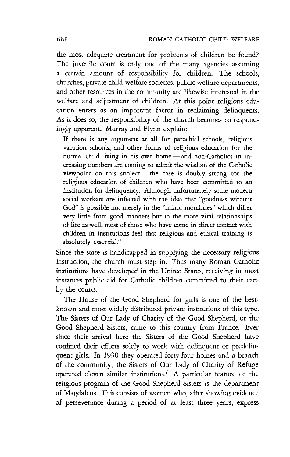the most adequate treatment for problems of children be found? The juvenile court is only one of the many agencies assuming a certain amount of responsibility for children. The schools, churches, private child-welfare societies, public welfare departments, and other resources in the community are likewise interested in the welfare and adjustment of children. At this point religious education enters as an important factor in reclaiming delinquents. As it does so, the responsibility of the church becomes correspondingly apparent. Murray and Flynn explain:

If there is any argument at all for parochial schools, religious vacation schools, and other forms of religious education for the normal child living in his own home - and non-Catholics in increasing numbers are coming to admit the wisdom of the Catholic viewpoint on this subject—the case is doubly strong for the religious education of children who have been committed to an institution for delinquency. Although unfortunately some modern social workers are infected with the idea that "goodness without God" is possible not merely in the "minor moralities" which differ very little from good manners but in the more vital relationships of life as well, most of those who have come in direct contact with children in institutions feel that religious and ethical training is absolutely essential.<sup>6</sup>

Since the state is handicapped in supplying the necessary religious instruction, the church must step in. Thus many Roman Catholic institutions have developed in the United States, receiving in most instances public aid for Catholic children committed to their care by the courts.

The House of the Good Shepherd for girls is one of the bestknown and most widely distributed private institutions of this type. The Sisters of Our Lady of Charity of the Good Shepherd, or the Good Shepherd Sisters, came to this country from France. Ever since their arrival here the Sisters of the Good Shepherd have confined their efforts solely to work with delinquent or predelinquent girls. In 1930 they operated forty-four homes and a branch of the community; the Sisters of Our Lady of Charity of Refuge operated eleven similar institutions.7 A particular feature of the religious program of the Good Shepherd Sisters is the department of Magdalens. This consists of women who, after showing evidence of perseverance during a period of at least three years, express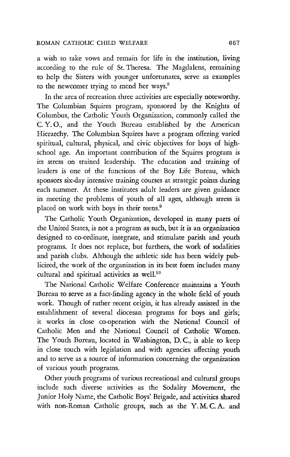a wish to take vows and remain for life in the institution, living according to the rule of St. Theresa. The Magdalens, remaining to help the Sisters with younger unfortunates, serve as examples to the newcomer trying to mend her ways.<sup>8</sup>

In the area of recreation three activities are especially noteworthy. The Columbian Squires program, sponsored by the Knights of Columbus, the Catholic Youth Organization, commonly called the C. Y. 0., and the Youth Bureau established by the American Hierarchy. The Columbian Squires have a program offering varied spiritual, cultural, physical, and civic objectives for boys of highschool age. An important contribution of the Squires program is its stress on trained leadership. The education and training of leaders is one of the functions of the Boy Life Bureau, which sponsors six-day intensive training courses at strategic points during each summer. At these institutes adult leaders are given guidance in meeting the problems of youth of all ages, although stress is placed on work with boys in their teens.9

The Catholic Youth Organization, developed in many parts of the United States, is not a program as such, but it is an organization designed to co-ordinate, integrate, and stimulate parish and youth programs. It does not replace, but furthers, the work of sodalities and parish clubs. Although the athletic side has been widely publicized, the work of the organization in its best form includes many cultural and spiritual activities as well.<sup>10</sup>

The National Catholic Welfare Conference maintains a Youth Bureau to serve as a fact-finding agency in the whole field of youth work. Though of rather recent origin, it has already assisted in the establishment of several diocesan programs for boys and girls; it works in close co-operation with the National Council of Catholic Men and the National Council of Catholic Women. The Youth Bureau, located in Washington, D. c., *is* able to keep in close touch with legislation and with agencies affecting youth and to serve as a source of information concerning the organization of various youth programs.

Other youth programs of various recreational and cultural groups include such diverse activities as the Sodality Movement, the Junior Holy Name, the Catholic Boys' Brigade, and activities shared with non-Roman Catholic groups, such as the Y. M. C. A. and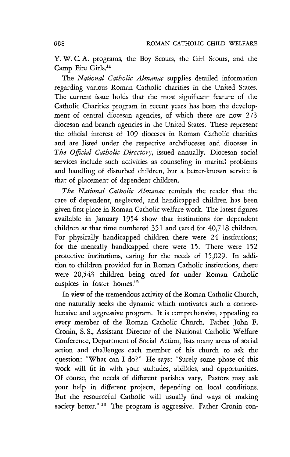Y. W. C. A. programs, the Boy Scouts, the Girl Scours, and the Camp Fire Girls.<sup>11</sup>

The *National Catholic Almanac* supplies detailed information regarding various Roman Catholic charities in the United States. The current issue holds that the most significant feature of the Catholic Charities program in recent years has been the development of central diocesan agencies, of which there are now 273 diocesan and branch agencies in the United States. These represent the official interest of 109 dioceses in Roman Catholic charities and are listed under the respective archdioceses and dioceses in *The Official Catholic Directory,* issued annually. Diocesan social services include such activities as counseling in marital problems and handling of disturbed children, but a better-known service is that of placement of dependent children.

*T he National Catholic Almanac* reminds the reader that the care of dependent, neglected, and handicapped children has been given first place in Roman Catholic welfare work. The latest figures available in January 1954 show that instimtions for dependent children at that time numbered 351 and cared for 40,718 children. For physically handicapped children there were 24 instimtions; for the mentally handicapped there were 15. There were 152 protective institutions, caring for the needs of 15,029. In addition to children provided for in Roman Catholic instimtions, there were 20,543 children being cared for under Roman Catholic auspices in foster homes.12

In view of the tremendous activity of the Roman Catholic Church, one naturally seeks the dynamic which motivates such a comprehensive and aggressive program. It is comprehensive, appealing to every member of the Roman Catholic Church. Father John F. Cronin, S. S., Assistant Director of the National Catholic Welfare Conference, Department of Social Action, lists many areas of social action and challenges each member of his church to ask the question: "What can I do?" He says: "Surely some phase of this work will fit in with your attitudes, abilities, and opportunities. Of course, the needs of different parishes vary. Pastors may ask your help in different projects, depending on local conditions. But the resourceful Catholic will usually find ways of making society better."<sup>13</sup> The program is aggressive. Father Cronin con-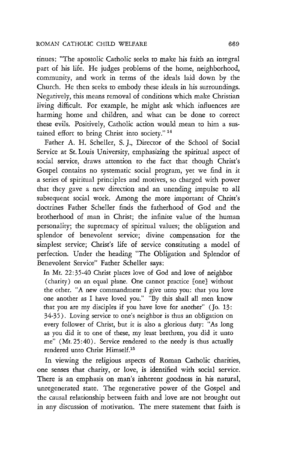#### ROMAN CATHOLIC CHILD WELFARE 669

tinues: "The apostolic Catholic seeks to make his faith an integral part of his life. He judges problems of the home, neighborhood, community, and work in terms of the ideals laid down by the Church. He then seeks to embody these ideals in his surroundings. Negatively, this means removal of conditions which make Christian living difficult. For example, he might ask which influences are harming home and children, and what can be done to correct these evils. Positively, Catholic action would mean to him a sustained effort to bring Christ into society." 14

Father A. H. Scheller, S. ]., Director of the School of Social Service at St. Louis University, emphasizing the spiritual aspect of social service, draws attention to the fact that though Christ's Gospel contains no systematic social program, yet we find in it a series of spiritual principles and motives, so charged with power that they gave a new direction and an unending impulse to all subsequent social work. Among the more important of Christ's doctrines Father Scheller finds the fatherhood of God and the brotherhood of man in Christ; the infinite value of the human personality; the supremacy of spiritual values; the obligation and splendor of benevolent service; divine compensation for the simplest service; Christ's life of service constituting a model of perfection. Under the heading "The Obligation and Splendor of Benevolent Service" Father Scheller says:

In Mt. 22:35-40 Christ places love of God and love of neighbor (charity) on an equal plane. One cannot practice [one] without the other. "A new commandment I give unto you: that you love one another as I have loved you." "By this shall all men know that you are my disciples if you have love for another"  $($  Jo. 13: 34-35). Loving service to one's neighbor is thus an obligation on every follower of Christ, but it is also a glorious duty: "As long as you did it to one of these, my least brethren, you did it unto me" (Mt.25:40). Service rendered to the needy is thus actually rendered unto Christ Himself.15

In viewing the religious aspects of Roman Catholic charities, one senses that charity, or love, is identified with social service. There is an emphasis on man's inherent goodness in his natural, unregenerated state. The regenerative power of the Gospel and the causal relationship between faith and love are not brought out in any discussion of motivation. The mere statement that faith is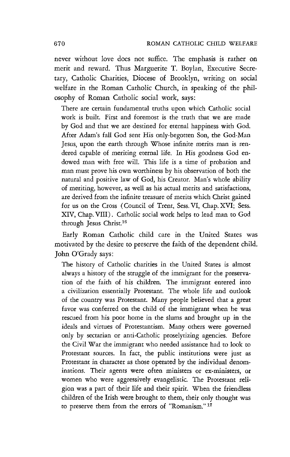never without love does not suffice. The emphasis is rather on merit and reward. Thus Marguerite T. Boylan, Executive Secretary, Catholic Charities, Diocese of Brooklyn, writing on social welfare in the Roman Catholic Church, in speaking of the philosophy of Roman Catholic social work, says:

There are certain fundamental truths upon which Catholic social work is built. First and foremost is the truth that we are made by God and that we are destined for eternal happiness with God. After Adam's fall God sent His only-begotten Son, the God-Man Jesus, upon the earth through Whose infinite merits man is rendered capable of meriting eternal life. In His goodness God endowed man with free will. This life is a time of probation and man must prove his own worthiness by his observation of both the natural and positive law of God, his Creator. Man's whole ability of meriting, however, as well as his actual merits and satisfactions, are derived from the infinite treasure of merits which Christ gained for us on the Cross (Council of Trent, Sess. VI, Chap. XVI; Sess. XIV, Chap. VIII). Catholic social work helps to lead man to God through Jesus Christ.16

Early Roman Catholic child care in the United States was motivated by the desire to preserve the faith of the dependent child. John O'Grady says:

The history of Catholic charities in the United States is almost always a history of the struggle of the immigrant for the preservation of the faith of his children. The immigrant entered into a civilization essentially Protestant. The whole life and outlook of the country was Protestant. Many people believed that a great favor was conferred on the child of the immigrant when he was rescued from his poor home in the slums and brought up in the ideals and virtues of Protestantism. Many others were governed only by sectarian or anti-Catholic proselytizing agencies. Before the Civil War the immigrant who needed assistance had to look to Protestant sources. In fact, the public institutions were just as Protestant in character as those operated by the individual denominations. Their agents were often ministers or ex-ministers, or women who were aggressively evangelistic. The Protestant religion was a part of their life and their spirit. When the friendless children of the Irish were brought to them, their only thought was to preserve them from the errors of "Romanism." 17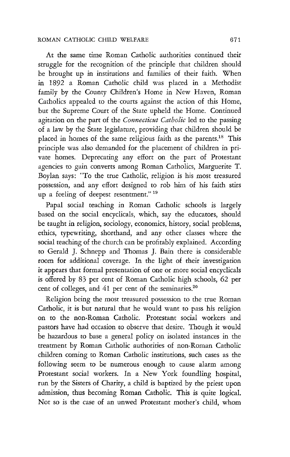### ROMAN CATHOLIC CHILD WELFARE 671

At the same time Roman Catholic authorities continued their struggle for the recognition of the principle that children should be brought up in instimtions and families of their faith. When in 1892 a Roman Catholic child was placed in a Methodist family by the County Children's Home in New Haven, Roman Catholics appealed to the courts against the action of this Home, but the Supreme Court of the State upheld the Home. Continued agitation on the part of the *Connecticut Catholic* led to the passing of a law by the State legislamre, providing that children should be placed in homes of the same religious faith as the parents.<sup>18</sup> This principle was also demanded for the placement of children in private homes. Deprecating any effort on the part of Protestant agencies to gain converts among Roman Catholics, Marguerite T. Boylan says: "To the true Catholic, religion is his most treasured possession, and any effort designed to rob him of his faith stirs up a feeling of deepest resentment."<sup>19</sup>

Papal social teaching in Roman Catholic schools is largely based on the social encyclicals, which, say the educators, should be taught in religion, sociology, economics, history, social problems, ethics, typewriting, shorthand, and any other classes where the social teaching of the church can be profitably explained. According to Gerald J. Schnepp and Thomas J. Bain there is considerable room for additional coverage. In the light of their investigation it appears that formal presentation of one or more social encyclicals is offered by 83 per cent of Roman Catholic high schools, 62 per cent of colleges, and 41 per cent of the seminaries.<sup>20</sup>

Religion being the most treasured possession to the true Roman Catholic, it is but natural that he would want to pass his religion on to the non-Roman Catholic. Protestant social workers and pastors have had occasion to observe that desire. Though it would be hazardous to base a general policy on isolated instances in the treatment by Roman Catholic authorities of non-Roman Catholic children coming to Roman Catholic institutions, such cases as the following seem to be numerous enough to cause alarm among Protestant social workers. In a New York foundling hospital, run by the Sisters of Charity, a child is baptized by the priest upon admission, thus becoming Roman Catholic. This is quite logical. Not so is the case of an unwed Protestant mother's child, whom